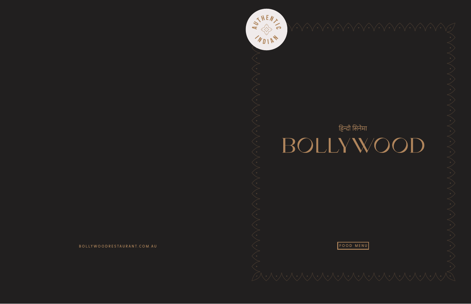BOLLYWOODRESTAURANT.COM.AU

STHENT WDIAN



FOOD MENU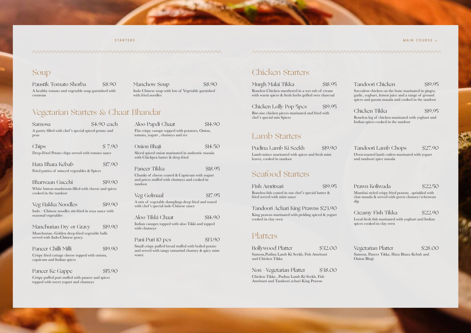## Soup

Paustik Tomato Shorba \$8.90 A healthy tomato and vegetable soup garnished with croutons

Manchow Soup \$8.90 Indo Chinese soup with lots of Vegetable garnished with fried noodles

### STARTERS

## Vegetarian Starters & Chaat Bhandar

| Samosa                                                                                     | \$4.90 each |
|--------------------------------------------------------------------------------------------|-------------|
| A pastry filled with chef's special spiced potato and<br>peas                              |             |
| Chips                                                                                      | \$7.90      |
| Deep-Fried Potato chips served with tomato sauce                                           |             |
| Hara Bhara Kebab                                                                           | \$17.90     |
| Fried patties of minced vegetables & Spices                                                |             |
| Bharwaan Gucchi                                                                            | \$19.90     |
| White button mushroom filled with cheese and spices<br>cooked in the tandoor               |             |
| Veg Hakka Noodles                                                                          | \$19.90     |
| $Indo$ – Chinese noodles stir-fried in soya sauce with<br>seasonal vegetables              |             |
| Manchurian Dry or Gravy                                                                    | \$19.90     |
| Manchurian -Golden deep-fried vegetable balls<br>served with Indo-Chinese gravy.           |             |
| Paneer Chilli Milli                                                                        | \$19.90     |
| Crispy fried cottage cheese topped with onions,<br>capsicum and Indian spices              |             |
| Paneer Ke Gappe                                                                            | \$15.90     |
| Crispy puffed puri stuffed with paneer and spices<br>topped with sweet yogurt and chutneys |             |

| Aloo Papdi Chaat                                                                    | \$14.90 |
|-------------------------------------------------------------------------------------|---------|
| Flat crispy canape topped with potatoes, Onion,<br>tomato, yogurt, chutneys and sev |         |
|                                                                                     |         |

Onion Bhaji \$14.50 Sliced spiced onion marinated in authentic masala with Chickpea batter & deep fried

### Paneer Tikka \$18.95

Chunks of cheese coated & Capsicum with yogurt and prices stuffed with chutneys and cooked in tandoor

### Veg Golmaal \$17.95

A mix of vegetable dumplings deep fried and tossed with chef 's special indo Chinese sauce

| Aloo Tikki Chaat                                 | \$14.90 |
|--------------------------------------------------|---------|
| Indian conongs topped with aloo Tikki and topped |         |

Indian canapes topped with aloo Tikki and topped with chutneys

### Pani Puri 10 pcs \$13.90

Non – Vegetarian Platter \$38.00 Chicken Tikka , Pudina Lamb Ki Seekh, Fish Amritsari and Tandoori achari King Prawns

Small crispy puffed bread stuffed with boiled potato and served with tangy tamarind chutney & spicy mint water.

### アイトウィート・マイト インター・ショップ アイマン アイアリング アイマン アイター・ショップ アイマン アイマン アイマン アイマン アイマン アイマン アイマン

# Chicken Starters

### Tandoori Chicken \$19.95

| Murgh Malai Tikka                                                                                        | \$18.95 |  |
|----------------------------------------------------------------------------------------------------------|---------|--|
| Boneless Chicken smothered in a wet rub of cream<br>with warm spices & fresh herbs grilled over charcoal |         |  |
| Chicken Lolly Pop 5pcs                                                                                   | \$19.95 |  |
| Bite-size chicken pieces marinated and fried with<br>chef's special mix Spices                           |         |  |
| <b>Lamb Starters</b>                                                                                     |         |  |
| Pudina Lamb Ki Seekh                                                                                     | \$19.90 |  |
| Lamb mince marinated with spices and fresh mint<br>leaves, cooked in tandoor                             |         |  |

Succulent chicken on the bone marinated in ginger, garlic, yoghurt, lemon juice and a range of ground spices and garam masala and cooked in the tandoor

## Chicken Tikka \$19.95

Boneless leg of chicken marinated with yoghurt and Indian spices cooked in the tandoor

## Tandoori Lamb Chops \$27.90

Oven-roasted lamb cutlets marinated with yogurt and tandoori spice masala

# Seafood Starters

| Fish Amritsari                                                                      | \$19.95 |
|-------------------------------------------------------------------------------------|---------|
| Boneless fish coated in our chef's special batter &<br>fried served with mint sauce |         |

Tandoori Achari King Prawns \$23.90 King prawns marinated with pickling spiced & yogurt cooked in clay oven

## Prawn Koliwada \$22.50

Mumbai styled crispy fried prawns , sprinkled with chat masala & served with green chutney/schezwan dip

## Creamy Fish Tikka \$22.90

Local fresh fish marinated with yoghurt and Indian spices cooked in clay oven

## Vegetarian Platter \$28.00

# Platters

| <b>Bollywood Platter</b>                                          | \$32.00 |
|-------------------------------------------------------------------|---------|
| Samosa, Pudina Lamb Ki Seekh, Fish Amritsari<br>and Chicken Tikka |         |
| $\mathbf{M}$ $\mathbf{M}$ $\mathbf{M}$                            | നറെ ററ  |

Samosa, Paneer Tikka, Hara Bhara Kebab and Onion Bhaji

### MAIN COURSE >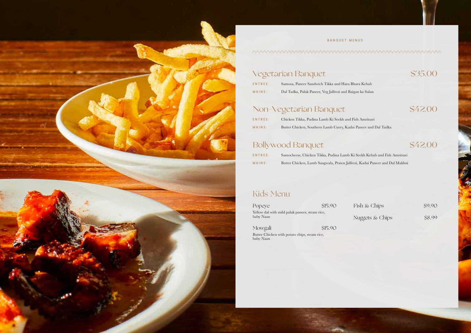

### BANQUET MENUS

# Vegetarian Banquet \$35.00

| ENTREE: | Samosa, Paneer Sandwich Tikka and Hara Bh      |
|---------|------------------------------------------------|
| MAINS:  | Dal Tadka, Palak Paneer, Veg Jalfrezi and Baig |

# Non-Vegetarian Banquet \$42.00

| ENTREE: | Chicken Tikka, Pudina Lamb Ki Seekh and Fi |
|---------|--------------------------------------------|
| MAINS:  | Butter Chicken, Southern Lamb Curry, Kadai |

# Bollywood Banquet \$42.00

| ENTREE: | Samocheese, Chicken Tikka, Pudina Lamb Ki    |
|---------|----------------------------------------------|
| MAINS:  | Butter Chicken, Lamb Saagwala, Prawn Jalfrez |

# Kids Menu

| Popeye                                                      | \$15.90 |  |
|-------------------------------------------------------------|---------|--|
| Yellow dal with mild palak paneer, steam rice,<br>baby Naan |         |  |
| Mowgali                                                     | \$15.90 |  |

Butter Chicken with potato chips, steam rice, baby Naan

ara Kebab an ka Salan,

.<br>ish Amritsari i Paneer and Dal Tadka

Seekh Kebab and Fish Amritsari ti, Kadai Paneer and Dal Makhni

 $Fish & Chips$   $$9.90$ 

Nuggets & Chips \$8.99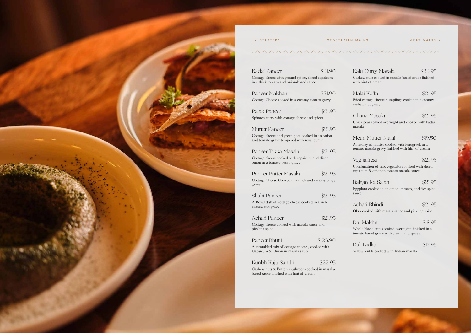

へんへんへんへんへんへんへんへんへん しょうしゅうしゅう しゅうしゅうしょう しゅうしゅうしょう しゅうしゅうしゃ しゅうしゅうしゅう しゅうしゅうしゅうしゅう

| Kadai Paneer                                                                                   | \$21.90 |
|------------------------------------------------------------------------------------------------|---------|
| Cottage cheese with ground spices, sliced capsicum<br>in a thick tomato and onion-based sauce  |         |
| Paneer Makhani                                                                                 | \$21.90 |
| Cottage Cheese cooked in a creamy tomato gravy                                                 |         |
| Palak Paneer                                                                                   | \$21.95 |
| Spinach curry with cottage cheese and spices                                                   |         |
| Mutter Paneer                                                                                  | \$21.95 |
| Cottage cheese and green peas cooked in an onion<br>and tomato gravy tempered with royal cumin |         |
| Paneer Tikka Masala                                                                            | \$21.95 |
| Cottage cheese cooked with capsicum and sliced<br>onion in a tomato-based gravy                |         |
| Paneer Butter Masala                                                                           | \$21.95 |
| Cottage Cheese Cooked in a thick and creamy tangy<br>gravy                                     |         |
| Shahi Paneer                                                                                   | \$21.95 |
| A Royal dish of cottage cheese cooked in a rich<br>cashew nut gravy                            |         |
| Achari Paneer                                                                                  | \$21.95 |
| Cottage cheese cooked with masala sauce and<br>pickling spice                                  |         |
| Paneer Bhurji                                                                                  | \$23.90 |
| A scrambled mix of cottage cheese, cooked with<br>Capsicum & Onion in masala sauce             |         |
| Kunbh Kaju Sandli                                                                              | \$22.95 |

Cashew nuts & Button mushroom cooked in masalabased sauce finished with hint of cream

### < STARTERS VEGETARIAN MAINS MEAT MAINS >

## Kaju Curry Masala \$22.95

Cashew nuts cooked in masala based sauce finished with hint of cream

## Malai Kofta \$21.95

Fried cottage cheese dumplings cooked in a creamy cashew-nut gravy

## Chana Masala \$21.95

Chick peas soaked overnight and cooked with kadai masala

## Methi Mutter Malai \$19.50

A medley of mutter cooked with fenugreek in a tomato masala gravy finished with hint of cream

## Veg jalfrezi \$21.95

Combination of mix vegetables cooked with sliced capsicum & onion in tomato masala sauce

## Baigan Ka Salan \$21.95

## Eggplant cooked in an onion, tomato, and five-spice

sauce

## Achari Bhindi \$21.95

Okra cooked with masala sauce and pickling spice

## Dal Makhni \$18.95

Whole black lentils soaked overnight, finished in a tomato based gravy with cream and spices

## Dal Tadka \$17.95

Yellow lentils cooked with Indian masala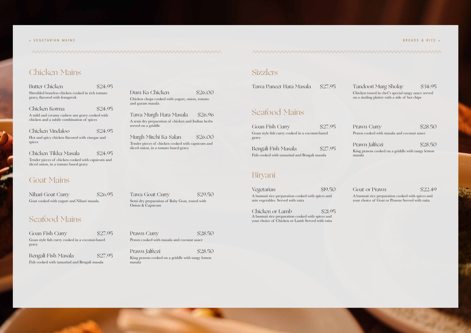< VEGETARIAN MAINS

## Chicken Mains

| Butter Chicken                                  | \$24.95 |
|-------------------------------------------------|---------|
| Shredded boneless chicken cooked in rich tomato |         |
| gravy, flavored with fenugreek                  |         |

Chicken Korma \$24.95 A mild and creamy cashew nut gravy cooked with chicken and a subtle combination of spices

| Chicken Vindaloo                                | \$24.95 |
|-------------------------------------------------|---------|
| Hot and spicy chicken flavored with vinegar and |         |
| spices                                          |         |

Chicken Tikka Masala \$24.95

Tender pieces of chicken cooked with capsicum and sliced onion, in a tomato based gravy

Nihari Goat Curry \$26.95 Goat cooked with yogurt and Nihari masala

Tawa Goat Curry \$29.50 Semi dry preparation of Baby Goat, tossed with

| Dum Ka Chicken                                                      | \$26.00 |
|---------------------------------------------------------------------|---------|
| Chicken chops cooked with yogurt, onion, tomato<br>and garam masala |         |
|                                                                     |         |

Tawa Murgh Hara Masala \$26.96 A semi dry preparation of chicken and Indian herbs served on a griddle

Prawn Jalfrezi \$28.50 King prawns cooked on a griddle with tangy lemon masala

Murgh Mirchi Ka Salan \$26.00 Tender pieces of chicken cooked with capsicum and sliced onion, in a tomato based gravy

## Goat Mains

 $\overline{\phantom{a}}$ 

Chicken or Lamb \$21.95 A basmati rice preparation cooked with spices and your choice of Chicken or Lamb Served with raita

Onion & Capsicum

Prawn Curry \$28.50

# Seafood Mains

| Goan Fish Curry                                 | \$27.95 |
|-------------------------------------------------|---------|
| Goan style fish curry cooked in a coconut-based |         |
| gravy                                           |         |

Tandoori Murg Sholay \$34.95 Chicken tossed in chef 's special tangy sauce served on a sizzling platter with a side of hot chips

Prawn Curry \$28.50

Bengali Fish Masala \$27.95 Fish cooked with tamarind and Bengali masala

Prawn cooked with masala and coconut sauce

### BREADS & RICE >

# Seafood Mains

| Goan Fish Curry                                          | \$27.95 |
|----------------------------------------------------------|---------|
| Goan style fish curry cooked in a coconut-based<br>gravy |         |
| Bengali Fish Masala                                      | \$27.95 |
| Fish cooked with tamarind and Bengali masala             |         |

Prawn cooked with masala and coconut sauce

Prawn Jalfrezi \$28.50

King prawns cooked on a griddle with tangy lemon masala

Goat or Prawn \$22.49

## Biryani

| Vegetarian                                        | \$19.50 |
|---------------------------------------------------|---------|
| A basmati rice preparation cooked with spices and |         |
| mix vegetables. Served with raita                 |         |

A basmati rice preparation cooked with spices and your choice of Goat or Prawns Served with raita

# Sizzlers

| Tawa Paneer Hara Masala \$27.95 |  |
|---------------------------------|--|
|                                 |  |
|                                 |  |